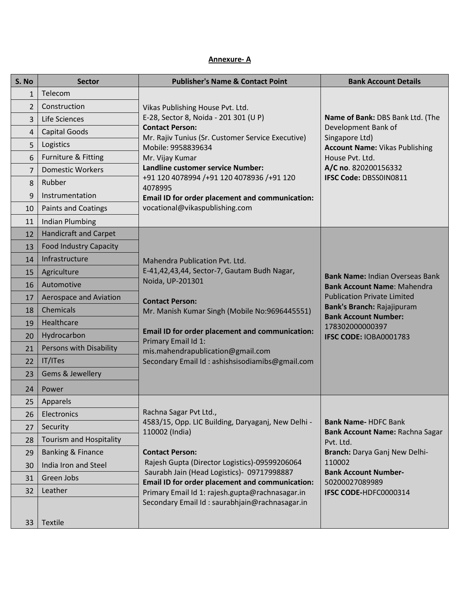## **Annexure- A**

| S. No           | <b>Sector</b>                 | <b>Publisher's Name &amp; Contact Point</b>                                                                                                                                                                                                                                                         | <b>Bank Account Details</b>                                                                                                                                                                     |
|-----------------|-------------------------------|-----------------------------------------------------------------------------------------------------------------------------------------------------------------------------------------------------------------------------------------------------------------------------------------------------|-------------------------------------------------------------------------------------------------------------------------------------------------------------------------------------------------|
| $\mathbf{1}$    | Telecom                       |                                                                                                                                                                                                                                                                                                     |                                                                                                                                                                                                 |
| $\overline{2}$  | Construction                  | Vikas Publishing House Pvt. Ltd.                                                                                                                                                                                                                                                                    |                                                                                                                                                                                                 |
| 3               | Life Sciences                 | E-28, Sector 8, Noida - 201 301 (U P)                                                                                                                                                                                                                                                               | Name of Bank: DBS Bank Ltd. (The                                                                                                                                                                |
| 4               | <b>Capital Goods</b>          | <b>Contact Person:</b>                                                                                                                                                                                                                                                                              | Development Bank of<br>Singapore Ltd)                                                                                                                                                           |
| 5               | Logistics                     | Mr. Rajiv Tunius (Sr. Customer Service Executive)<br>Mobile: 9958839634                                                                                                                                                                                                                             | <b>Account Name: Vikas Publishing</b>                                                                                                                                                           |
| 6               | Furniture & Fitting           | Mr. Vijay Kumar                                                                                                                                                                                                                                                                                     | House Pvt. Ltd.                                                                                                                                                                                 |
| 7               | <b>Domestic Workers</b>       | Landline customer service Number:                                                                                                                                                                                                                                                                   | A/C no. 820200156332                                                                                                                                                                            |
| 8               | Rubber                        | +91 120 4078994 /+91 120 4078936 /+91 120<br>4078995                                                                                                                                                                                                                                                | IFSC Code: DBSS0IN0811                                                                                                                                                                          |
| 9               | Instrumentation               | Email ID for order placement and communication:                                                                                                                                                                                                                                                     |                                                                                                                                                                                                 |
| 10              | <b>Paints and Coatings</b>    | vocational@vikaspublishing.com                                                                                                                                                                                                                                                                      |                                                                                                                                                                                                 |
| 11              | <b>Indian Plumbing</b>        |                                                                                                                                                                                                                                                                                                     |                                                                                                                                                                                                 |
| 12              | <b>Handicraft and Carpet</b>  |                                                                                                                                                                                                                                                                                                     |                                                                                                                                                                                                 |
| 13              | <b>Food Industry Capacity</b> |                                                                                                                                                                                                                                                                                                     |                                                                                                                                                                                                 |
| 14              | Infrastructure                | Mahendra Publication Pvt. Ltd.                                                                                                                                                                                                                                                                      |                                                                                                                                                                                                 |
| 15              | Agriculture                   | E-41,42,43,44, Sector-7, Gautam Budh Nagar,                                                                                                                                                                                                                                                         | <b>Bank Name: Indian Overseas Bank</b>                                                                                                                                                          |
| 16              | Automotive                    | Noida, UP-201301<br><b>Contact Person:</b><br>Mr. Manish Kumar Singh (Mobile No:9696445551)                                                                                                                                                                                                         | <b>Bank Account Name: Mahendra</b><br><b>Publication Private Limited</b><br>Bank's Branch: Rajajipuram<br><b>Bank Account Number:</b><br>178302000000397                                        |
| 17              | Aerospace and Aviation        |                                                                                                                                                                                                                                                                                                     |                                                                                                                                                                                                 |
| 18              | Chemicals                     |                                                                                                                                                                                                                                                                                                     |                                                                                                                                                                                                 |
| 19              | Healthcare                    |                                                                                                                                                                                                                                                                                                     |                                                                                                                                                                                                 |
| 20              | Hydrocarbon                   | <b>Email ID for order placement and communication:</b>                                                                                                                                                                                                                                              | IFSC CODE: IOBA0001783                                                                                                                                                                          |
| 21              | Persons with Disability       | Primary Email Id 1:<br>mis.mahendrapublication@gmail.com                                                                                                                                                                                                                                            |                                                                                                                                                                                                 |
| 22              | IT/ITes                       | Secondary Email Id: ashishsisodiamibs@gmail.com                                                                                                                                                                                                                                                     |                                                                                                                                                                                                 |
| 23              | Gems & Jewellery              |                                                                                                                                                                                                                                                                                                     |                                                                                                                                                                                                 |
| 24              | Power                         |                                                                                                                                                                                                                                                                                                     |                                                                                                                                                                                                 |
| 25              | Apparels                      |                                                                                                                                                                                                                                                                                                     |                                                                                                                                                                                                 |
| 26              | Electronics                   | Rachna Sagar Pvt Ltd.,                                                                                                                                                                                                                                                                              |                                                                                                                                                                                                 |
| 27              | Security                      | 4583/15, Opp. LIC Building, Daryaganj, New Delhi -<br>110002 (India)<br><b>Contact Person:</b><br>Rajesh Gupta (Director Logistics)-09599206064<br>Saurabh Jain (Head Logistics)- 09717998887<br>Email ID for order placement and communication:<br>Primary Email Id 1: rajesh.gupta@rachnasagar.in | <b>Bank Name-HDFC Bank</b><br>Bank Account Name: Rachna Sagar<br>Pvt. Ltd.<br>Branch: Darya Ganj New Delhi-<br>110002<br><b>Bank Account Number-</b><br>50200027089989<br>IFSC CODE-HDFC0000314 |
| 28              | Tourism and Hospitality       |                                                                                                                                                                                                                                                                                                     |                                                                                                                                                                                                 |
| 29              | <b>Banking &amp; Finance</b>  |                                                                                                                                                                                                                                                                                                     |                                                                                                                                                                                                 |
| 30              | India Iron and Steel          |                                                                                                                                                                                                                                                                                                     |                                                                                                                                                                                                 |
| 31              | Green Jobs                    |                                                                                                                                                                                                                                                                                                     |                                                                                                                                                                                                 |
| 32              | Leather                       |                                                                                                                                                                                                                                                                                                     |                                                                                                                                                                                                 |
|                 |                               | Secondary Email Id: saurabhjain@rachnasagar.in                                                                                                                                                                                                                                                      |                                                                                                                                                                                                 |
| 33 <sup>°</sup> | Textile                       |                                                                                                                                                                                                                                                                                                     |                                                                                                                                                                                                 |